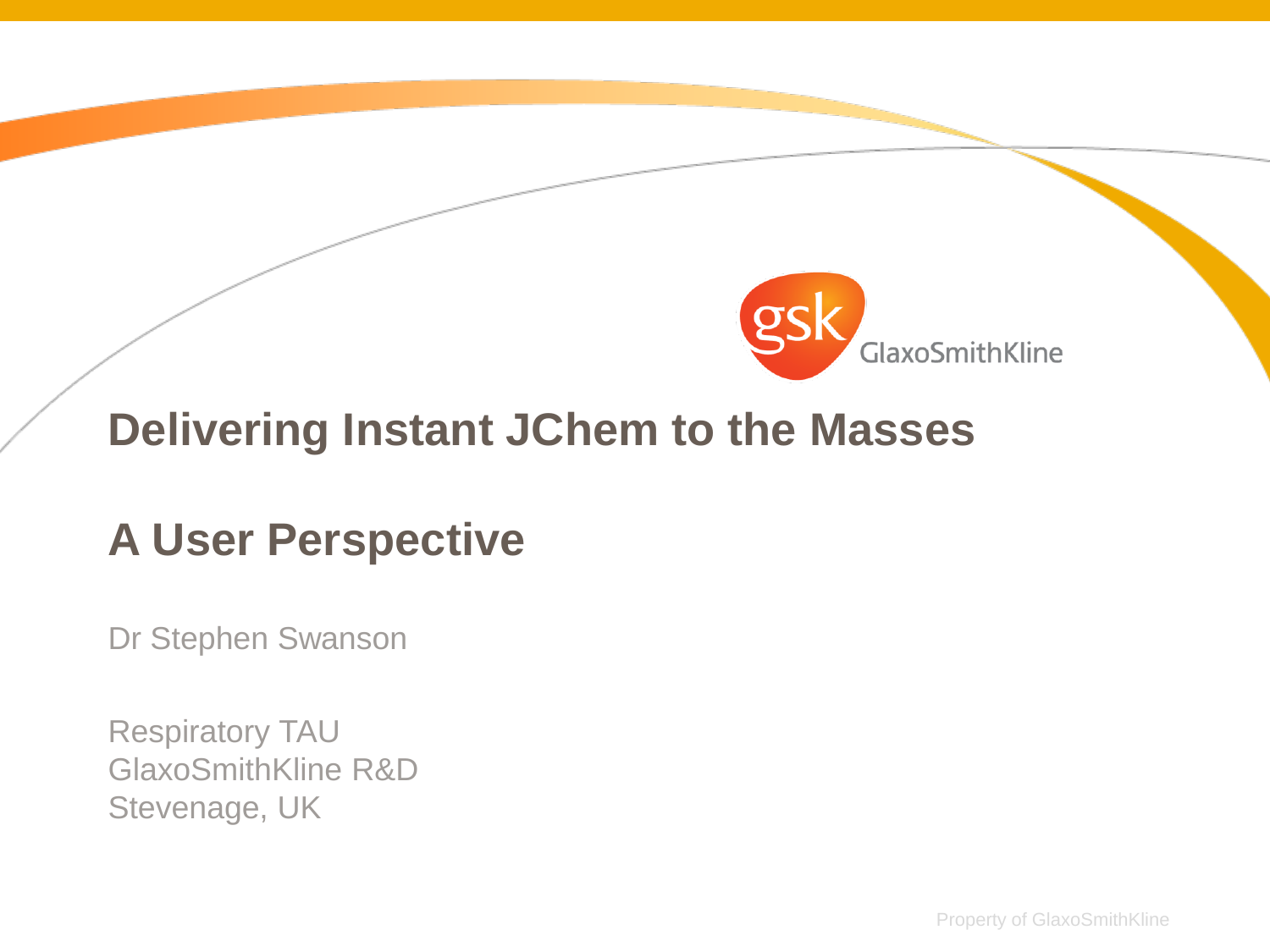

#### **Delivering Instant JChem to the Masses**

### **A User Perspective**

Dr Stephen Swanson

Respiratory TAU GlaxoSmithKline R&D Stevenage, UK

Property of GlaxoSmithKline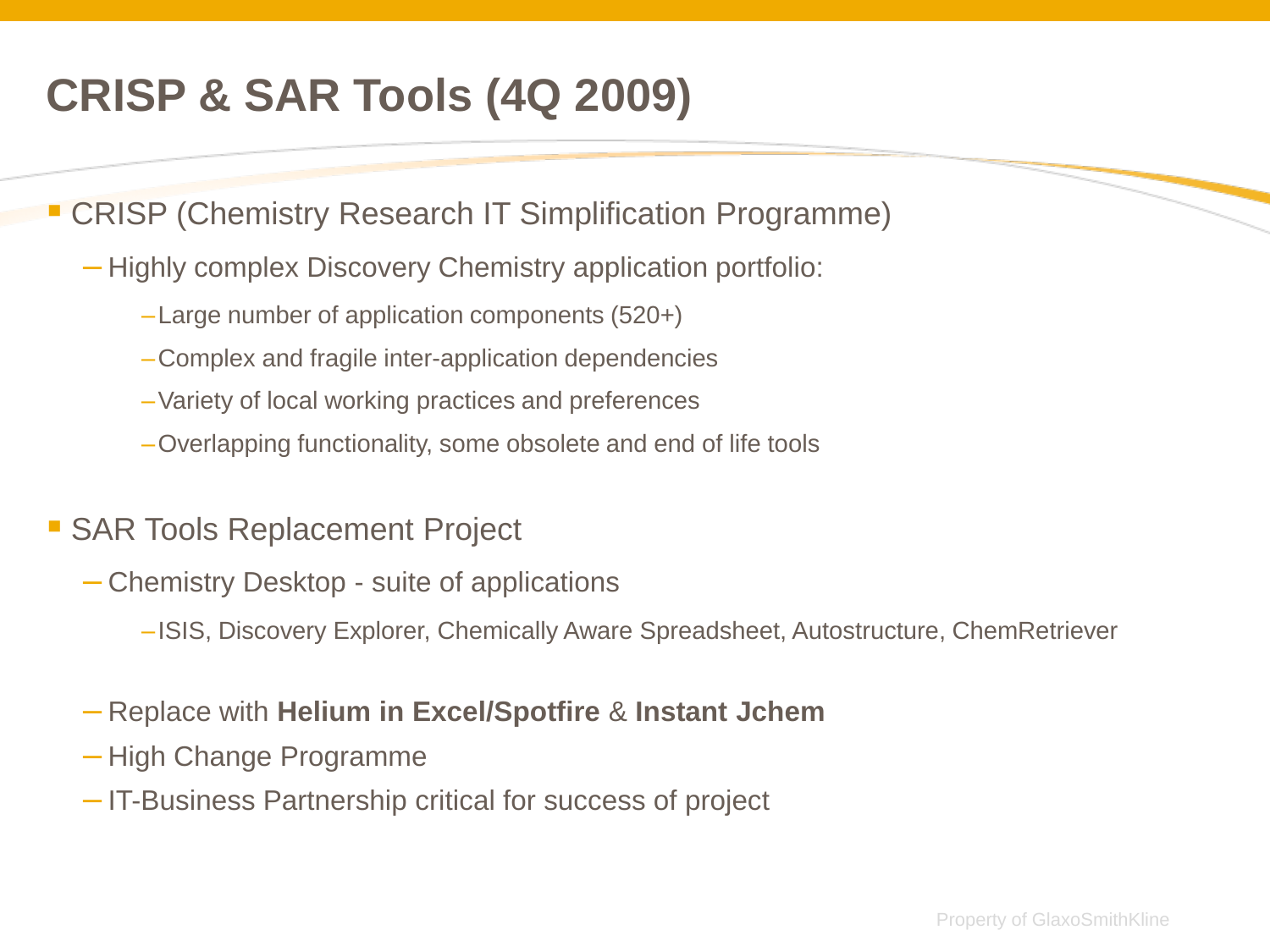# **CRISP & SAR Tools (4Q 2009)**

**- CRISP (Chemistry Research IT Simplification Programme)** 

- Highly complex Discovery Chemistry application portfolio:
	- –Large number of application components (520+)
	- –Complex and fragile inter-application dependencies
	- –Variety of local working practices and preferences
	- –Overlapping functionality, some obsolete and end of life tools

#### **SAR Tools Replacement Project**

- Chemistry Desktop suite of applications
	- –ISIS, Discovery Explorer, Chemically Aware Spreadsheet, Autostructure, ChemRetriever
- Replace with **Helium in Excel/Spotfire** & **Instant Jchem**
- High Change Programme
- IT-Business Partnership critical for success of project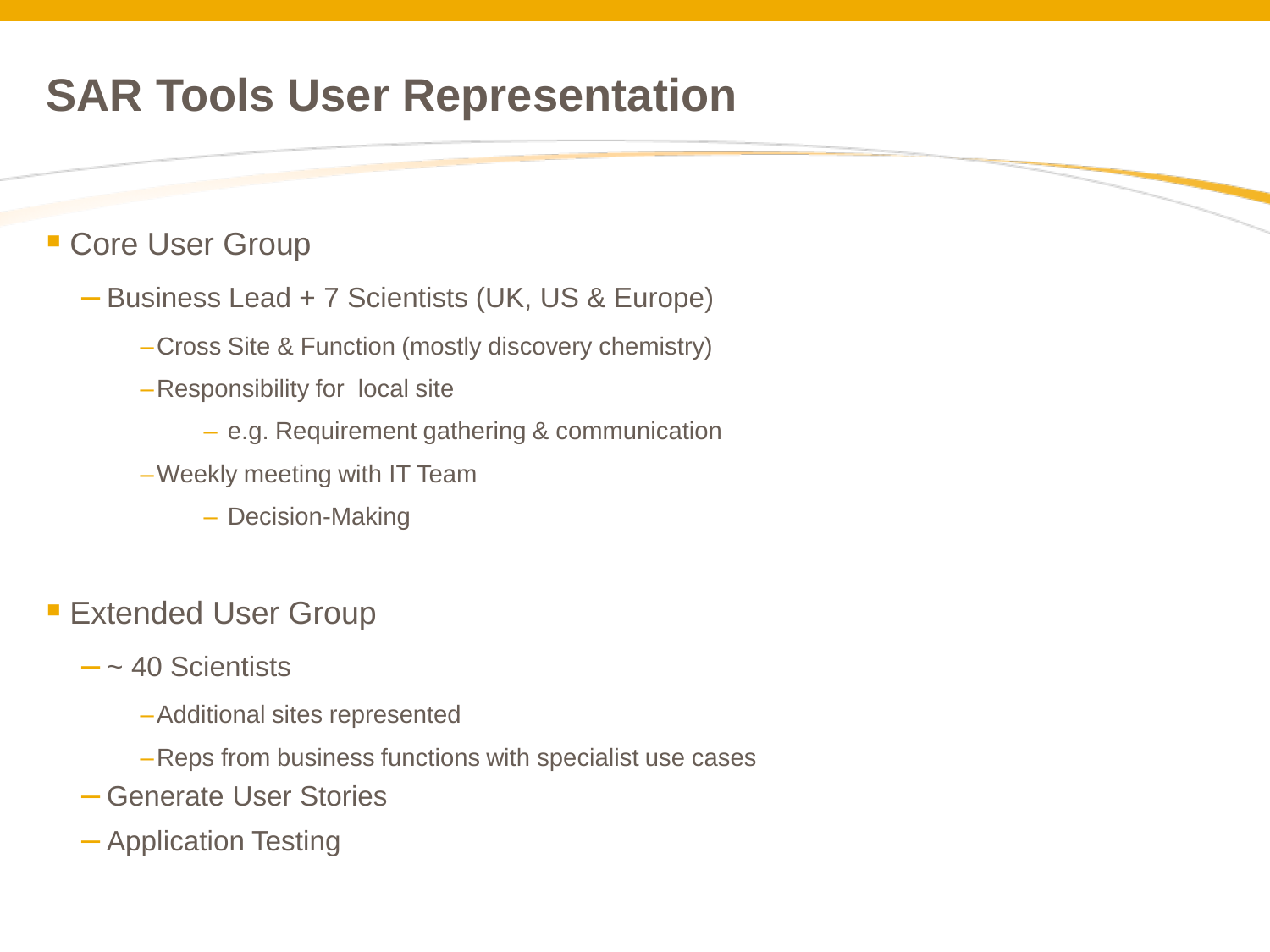## **SAR Tools User Representation**

#### **Core User Group**

- Business Lead + 7 Scientists (UK, US & Europe)
	- –Cross Site & Function (mostly discovery chemistry)
	- –Responsibility for local site
		- e.g. Requirement gathering & communication
	- –Weekly meeting with IT Team
		- Decision-Making
- **Extended User Group** 
	- $-$  ~ 40 Scientists
		- –Additional sites represented
		- –Reps from business functions with specialist use cases
	- Generate User Stories
	- Application Testing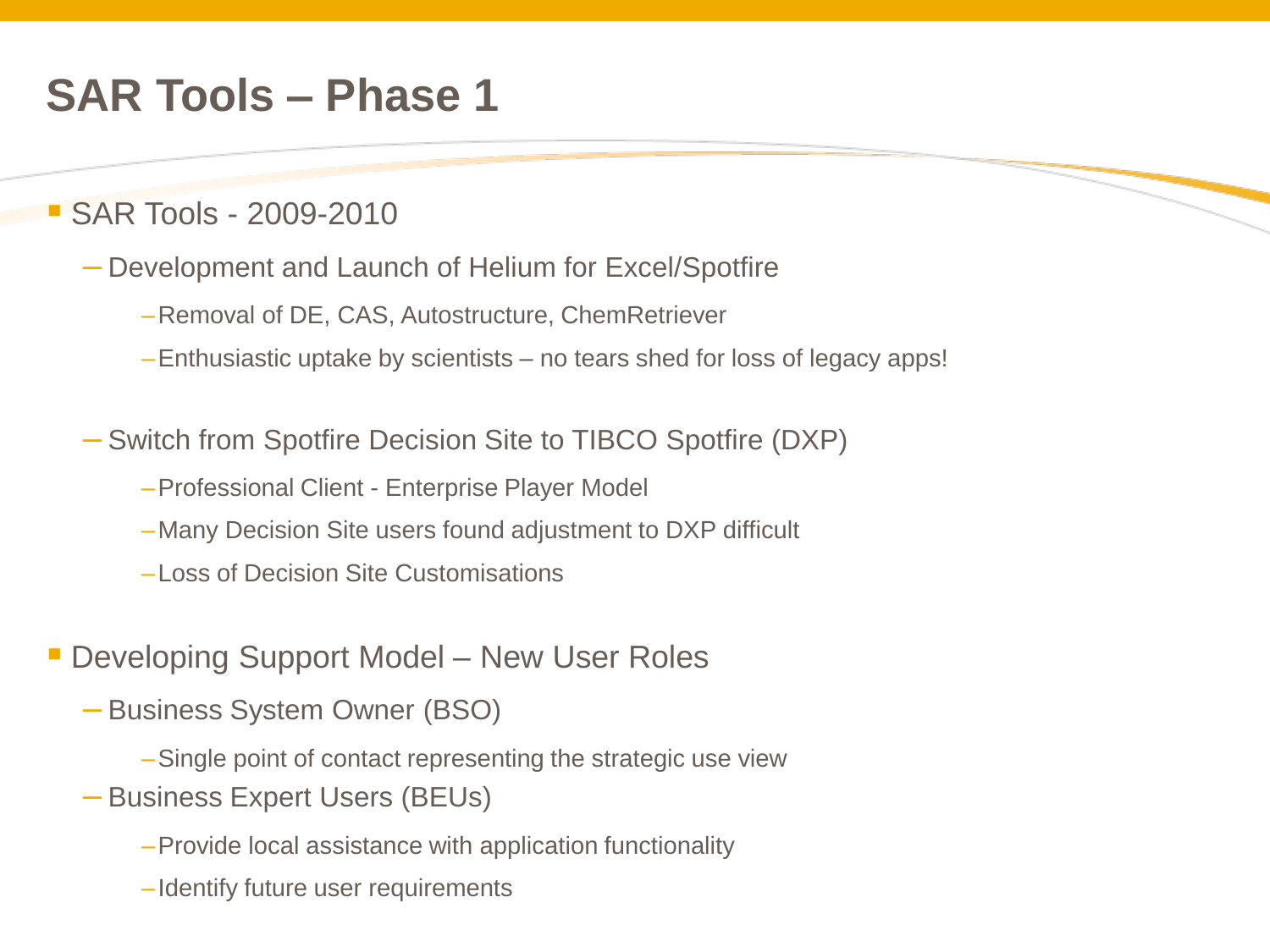### **SAR Tools – Phase 1**

#### **SAR Tools - 2009-2010**

- Development and Launch of Helium for Excel/Spotfire
	- –Removal of DE, CAS, Autostructure, ChemRetriever
	- –Enthusiastic uptake by scientists no tears shed for loss of legacy apps!
- Switch from Spotfire Decision Site to TIBCO Spotfire (DXP)
	- –Professional Client Enterprise Player Model
	- –Many Decision Site users found adjustment to DXP difficult
	- –Loss of Decision Site Customisations
- **Developing Support Model New User Roles** 
	- Business System Owner (BSO)
		- –Single point of contact representing the strategic use view
	- Business Expert Users (BEUs)
		- –Provide local assistance with application functionality
		- –Identify future user requirements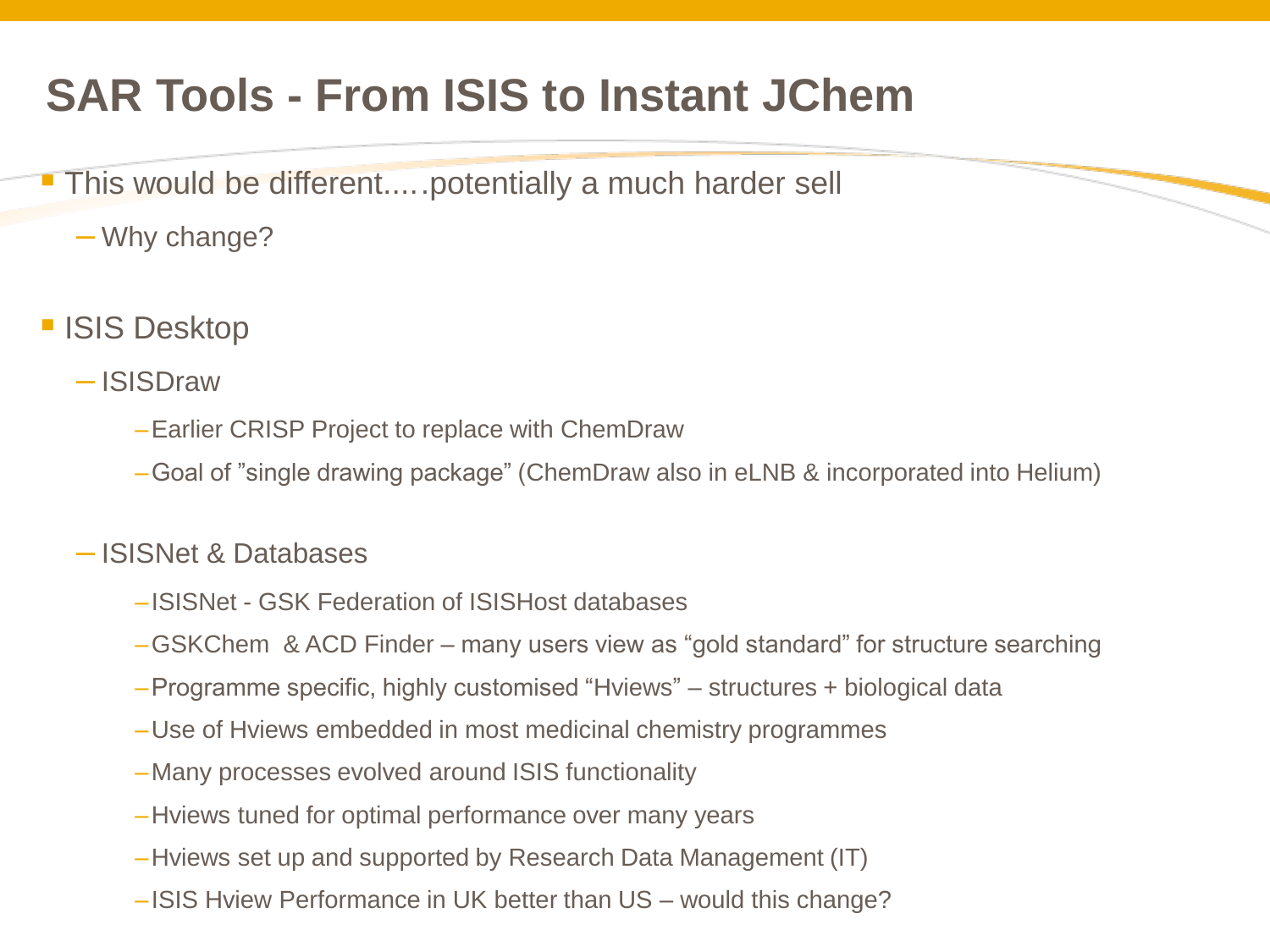# **SAR Tools - From ISIS to Instant JChem**

- This would be different.....potentially a much harder sell
	- Why change?
- ISIS Desktop
	- ISISDraw
		- –Earlier CRISP Project to replace with ChemDraw
		- –Goal of "single drawing package" (ChemDraw also in eLNB & incorporated into Helium)

#### – ISISNet & Databases

- –ISISNet GSK Federation of ISISHost databases
- –GSKChem & ACD Finder many users view as "gold standard" for structure searching
- –Programme specific, highly customised "Hviews" structures + biological data
- –Use of Hviews embedded in most medicinal chemistry programmes
- –Many processes evolved around ISIS functionality
- –Hviews tuned for optimal performance over many years
- –Hviews set up and supported by Research Data Management (IT)
- –ISIS Hview Performance in UK better than US would this change?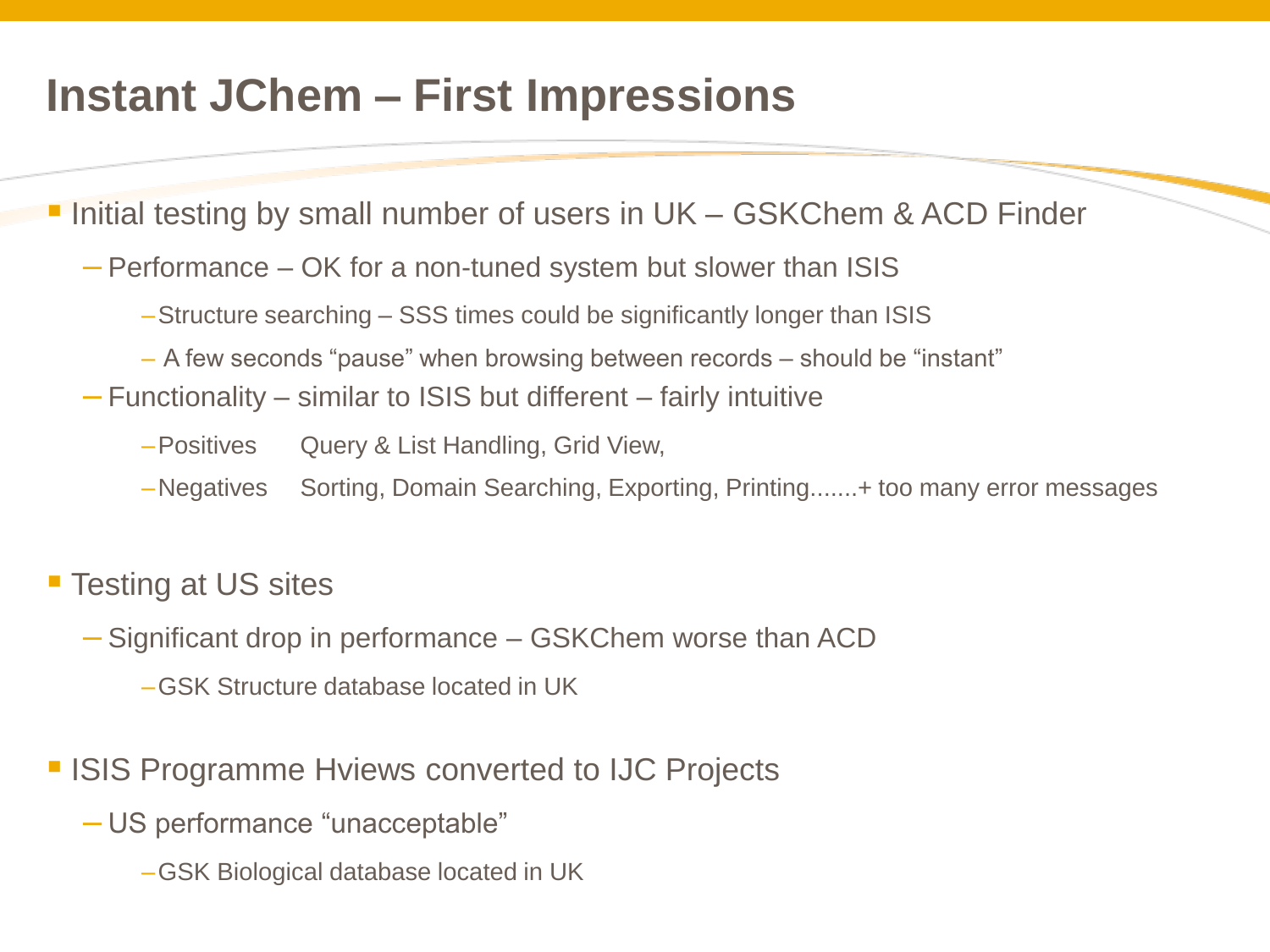#### **Instant JChem – First Impressions**

Initial testing by small number of users in UK – GSKChem & ACD Finder

- Performance OK for a non-tuned system but slower than ISIS
	- –Structure searching SSS times could be significantly longer than ISIS
	- A few seconds "pause" when browsing between records should be "instant"
- Functionality similar to ISIS but different fairly intuitive
	- –Positives Query & List Handling, Grid View,
	- –Negatives Sorting, Domain Searching, Exporting, Printing.......+ too many error messages
- **Testing at US sites** 
	- Significant drop in performance GSKChem worse than ACD
		- –GSK Structure database located in UK

**ISIS Programme Hyiews converted to IJC Projects** 

- US performance "unacceptable"
	- –GSK Biological database located in UK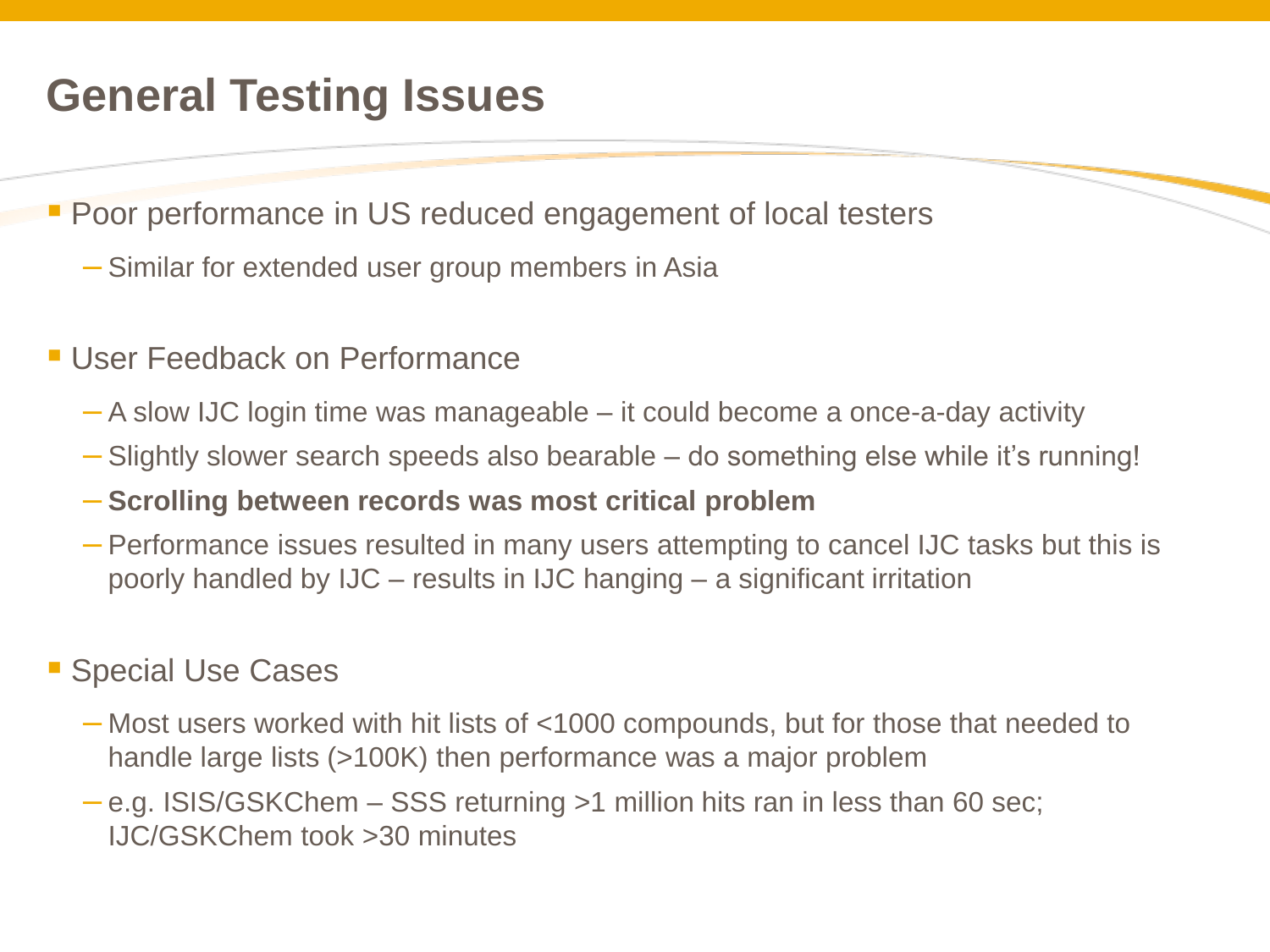### **General Testing Issues**

**Poor performance in US reduced engagement of local testers** 

- Similar for extended user group members in Asia
- **User Feedback on Performance** 
	- A slow IJC login time was manageable it could become a once-a-day activity
	- Slightly slower search speeds also bearable do something else while it's running!
	- **Scrolling between records was most critical problem**
	- Performance issues resulted in many users attempting to cancel IJC tasks but this is poorly handled by IJC – results in IJC hanging – a significant irritation

#### **Special Use Cases**

- Most users worked with hit lists of <1000 compounds, but for those that needed to handle large lists (>100K) then performance was a major problem
- e.g. ISIS/GSKChem SSS returning >1 million hits ran in less than 60 sec; IJC/GSKChem took >30 minutes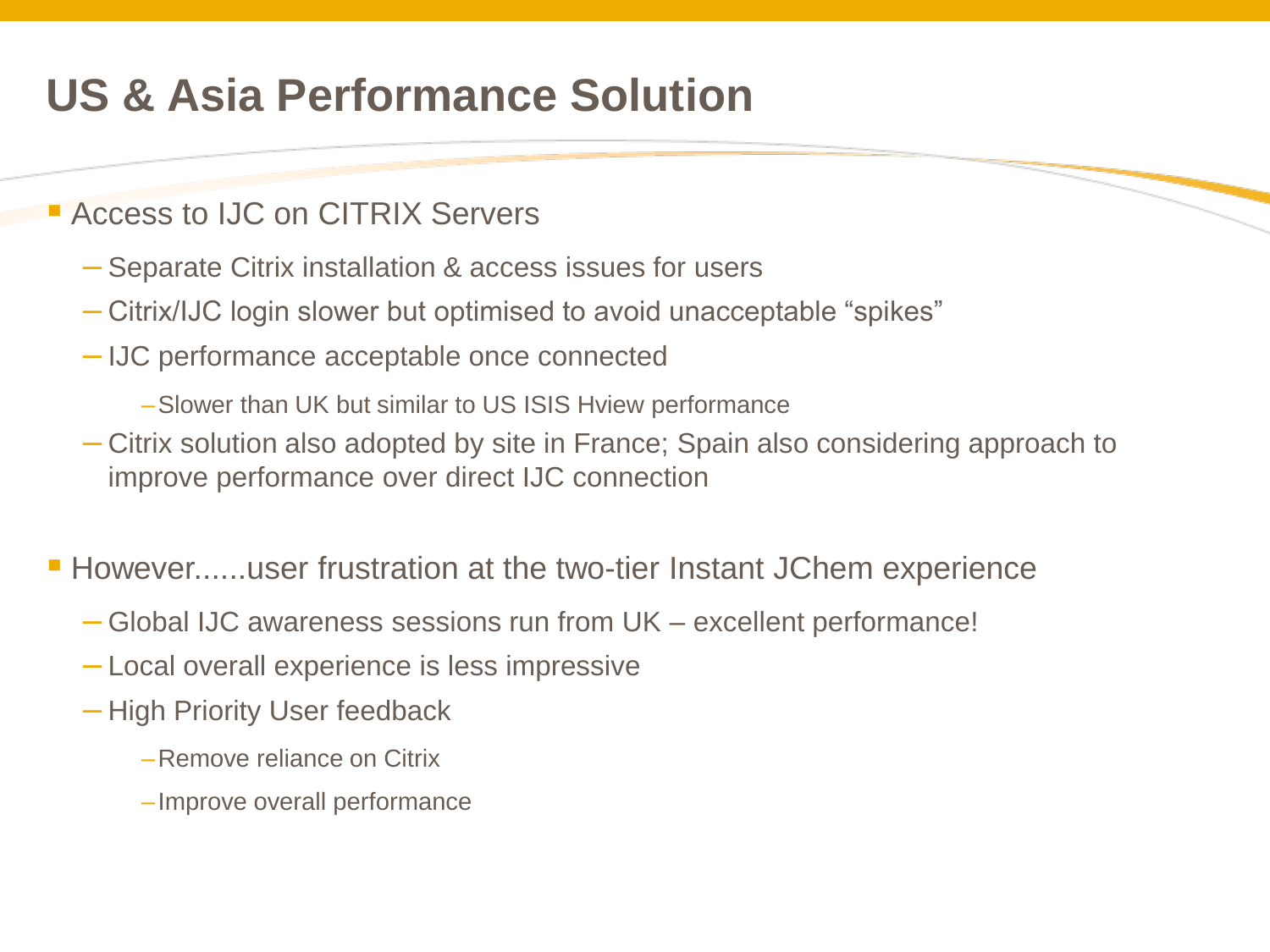## **US & Asia Performance Solution**

#### **Access to IJC on CITRIX Servers**

- Separate Citrix installation & access issues for users
- Citrix/IJC login slower but optimised to avoid unacceptable "spikes"
- IJC performance acceptable once connected
	- –Slower than UK but similar to US ISIS Hview performance
- Citrix solution also adopted by site in France; Spain also considering approach to improve performance over direct IJC connection
- **However......user frustration at the two-tier Instant JChem experience** 
	- Global IJC awareness sessions run from UK excellent performance!
	- Local overall experience is less impressive
	- High Priority User feedback
		- –Remove reliance on Citrix
		- –Improve overall performance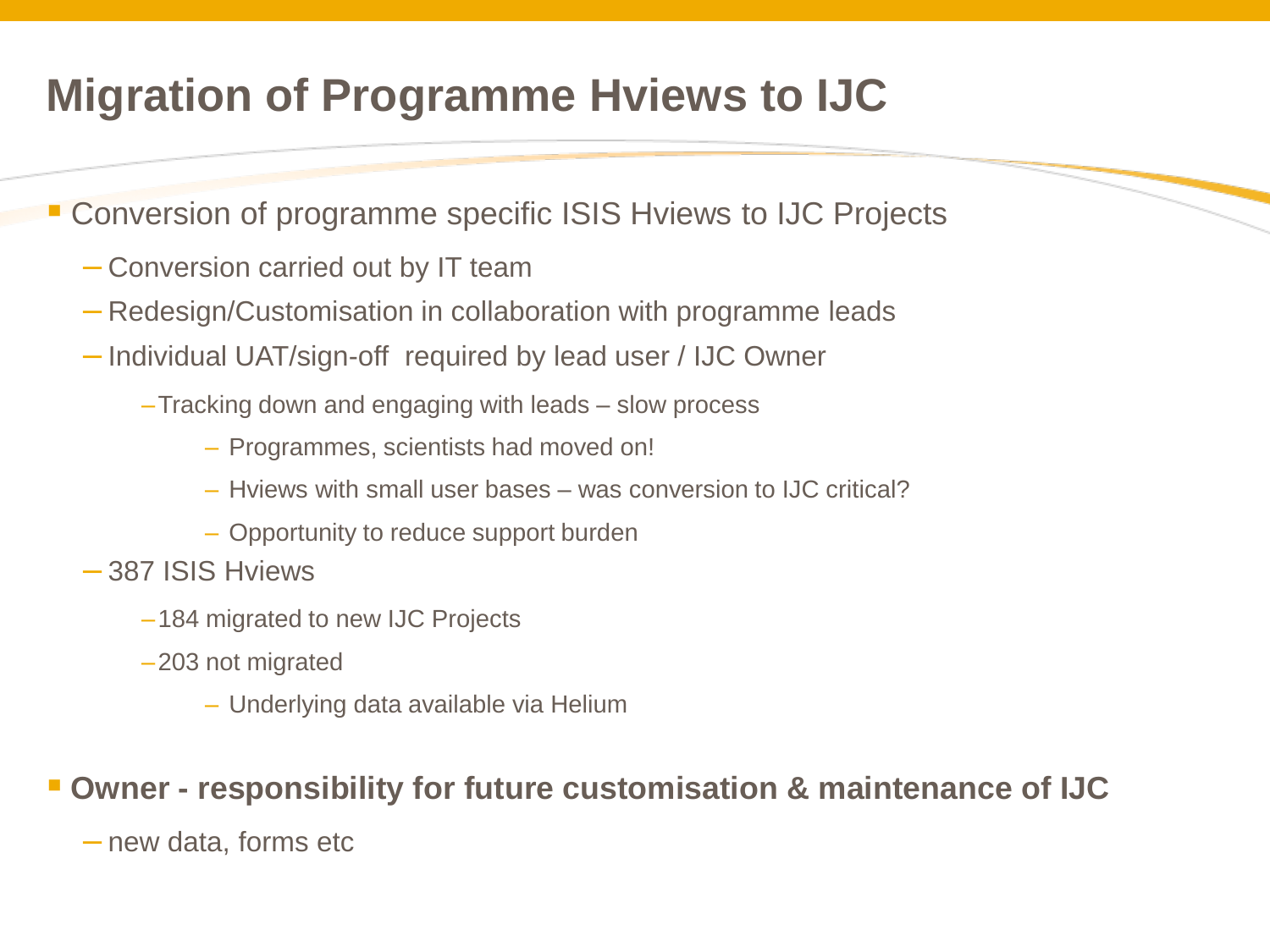## **Migration of Programme Hviews to IJC**

- Conversion of programme specific ISIS Hviews to IJC Projects
	- Conversion carried out by IT team
	- Redesign/Customisation in collaboration with programme leads
	- Individual UAT/sign-off required by lead user / IJC Owner
		- –Tracking down and engaging with leads slow process
			- Programmes, scientists had moved on!
			- Hviews with small user bases was conversion to IJC critical?
			- Opportunity to reduce support burden
	- 387 ISIS Hviews
		- –184 migrated to new IJC Projects
		- –203 not migrated
			- Underlying data available via Helium

#### **Owner - responsibility for future customisation & maintenance of IJC**

– new data, forms etc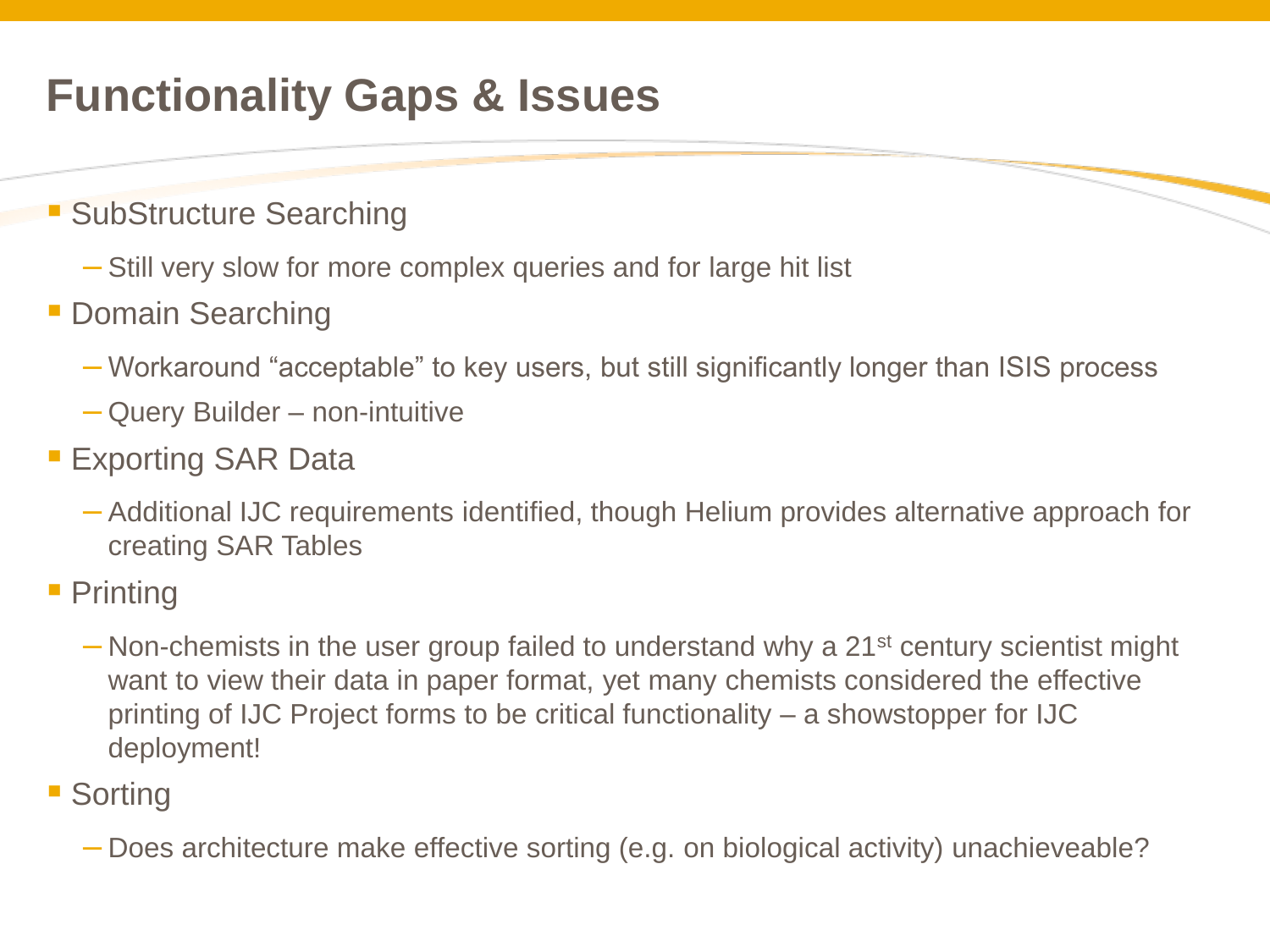## **Functionality Gaps & Issues**

- **SubStructure Searching** 
	- Still very slow for more complex queries and for large hit list
- **Domain Searching** 
	- Workaround "acceptable" to key users, but still significantly longer than ISIS process
	- Query Builder non-intuitive
- **Exporting SAR Data** 
	- Additional IJC requirements identified, though Helium provides alternative approach for creating SAR Tables
- Printing
	- $-$  Non-chemists in the user group failed to understand why a 21<sup>st</sup> century scientist might want to view their data in paper format, yet many chemists considered the effective printing of IJC Project forms to be critical functionality – a showstopper for IJC deployment!
- Sorting
	- Does architecture make effective sorting (e.g. on biological activity) unachieveable?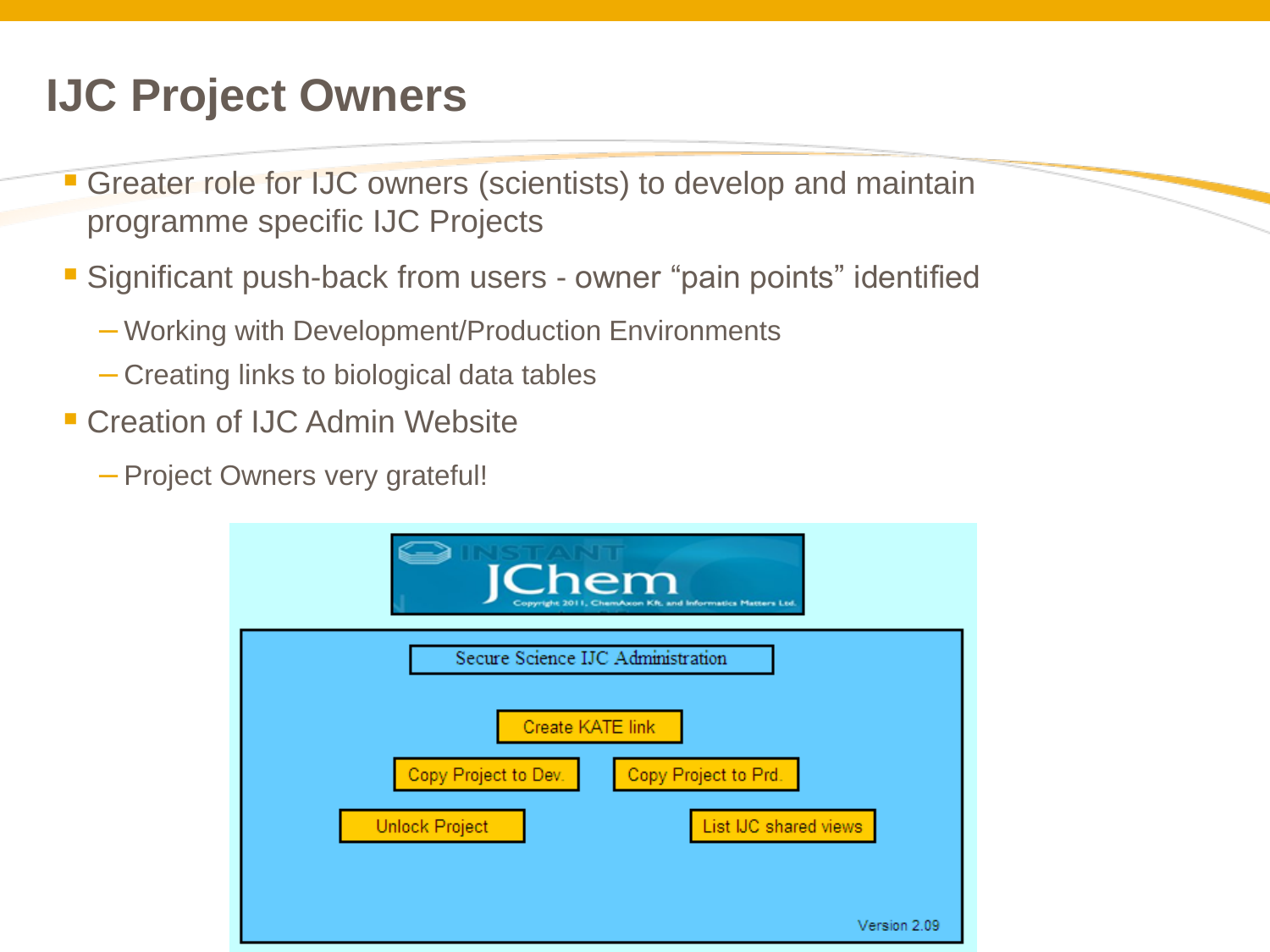## **IJC Project Owners**

- Greater role for IJC owners (scientists) to develop and maintain programme specific IJC Projects
- Significant push-back from users owner "pain points" identified
	- Working with Development/Production Environments
	- Creating links to biological data tables
- **E** Creation of IJC Admin Website
	- Project Owners very grateful!

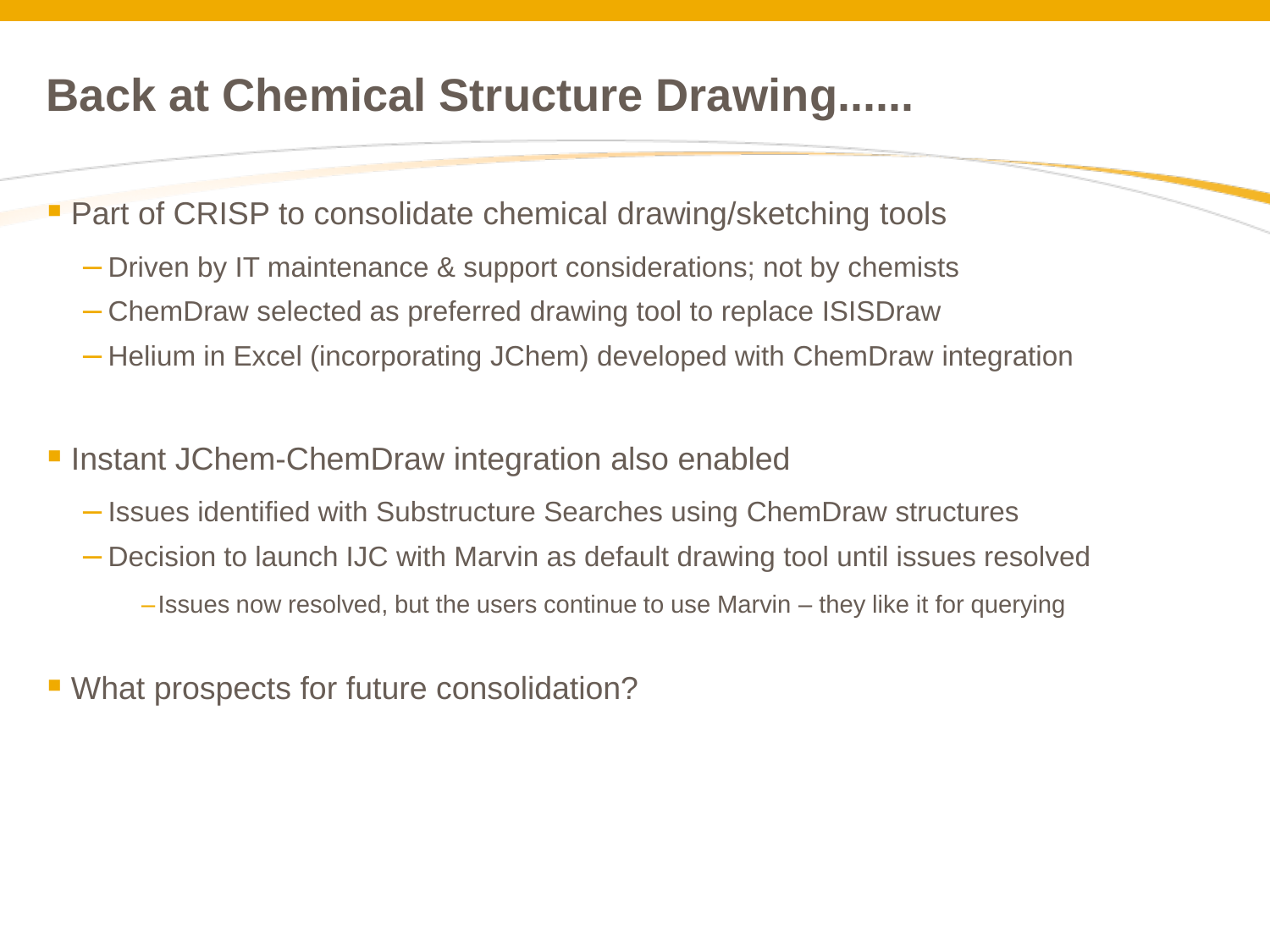#### **Back at Chemical Structure Drawing......**

**Part of CRISP to consolidate chemical drawing/sketching tools** 

- Driven by IT maintenance & support considerations; not by chemists
- ChemDraw selected as preferred drawing tool to replace ISISDraw
- Helium in Excel (incorporating JChem) developed with ChemDraw integration
- **Instant JChem-ChemDraw integration also enabled** 
	- Issues identified with Substructure Searches using ChemDraw structures
	- Decision to launch IJC with Marvin as default drawing tool until issues resolved
		- –Issues now resolved, but the users continue to use Marvin they like it for querying
- What prospects for future consolidation?